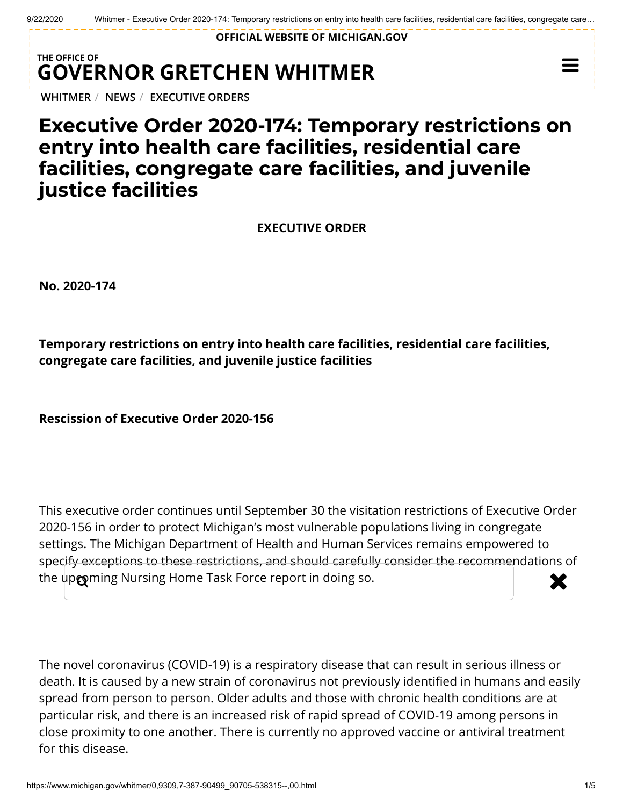**OFFICIAL WEBSITE OF [MICHIGAN.GOV](https://www.michigan.gov/)**

## **THE OFFICE OF GOVERNOR [GRETCHEN WHITMER](https://www.michigan.gov/whitmer/)**

**[WHITMER](https://www.michigan.gov/whitmer/)** / **[NEWS](https://www.michigan.gov/whitmer/0,9309,7-387-90499---,00.html)** / **[EXECUTIVE ORDERS](https://www.michigan.gov/whitmer/0,9309,7-387-90499_90705---,00.html)**

## **Executive Order 2020-174: Temporary restrictions on entry into health care facilities, residential care facilities, congregate care facilities, and juvenile justice facilities**

**EXECUTIVE ORDER**

**No. 2020-174**

**Temporary restrictions on entry into health care facilities, residential care facilities, congregate care facilities, and juvenile justice facilities**

**Rescission of Executive Order 2020-156**

This executive order continues until September 30 the visitation restrictions of Executive Order 2020-156 in order to protect Michigan's most vulnerable populations living in congregate settings. The Michigan Department of Health and Human Services remains empowered to specify exceptions to these restrictions, and should carefully consider the recommendations of the up $\bullet$  ming Nursing Home Task Force report in doing so.

The novel coronavirus (COVID-19) is a respiratory disease that can result in serious illness or death. It is caused by a new strain of coronavirus not previously identified in humans and easily spread from person to person. Older adults and those with chronic health conditions are at particular risk, and there is an increased risk of rapid spread of COVID-19 among persons in close proximity to one another. There is currently no approved vaccine or antiviral treatment for this disease.

 $\equiv$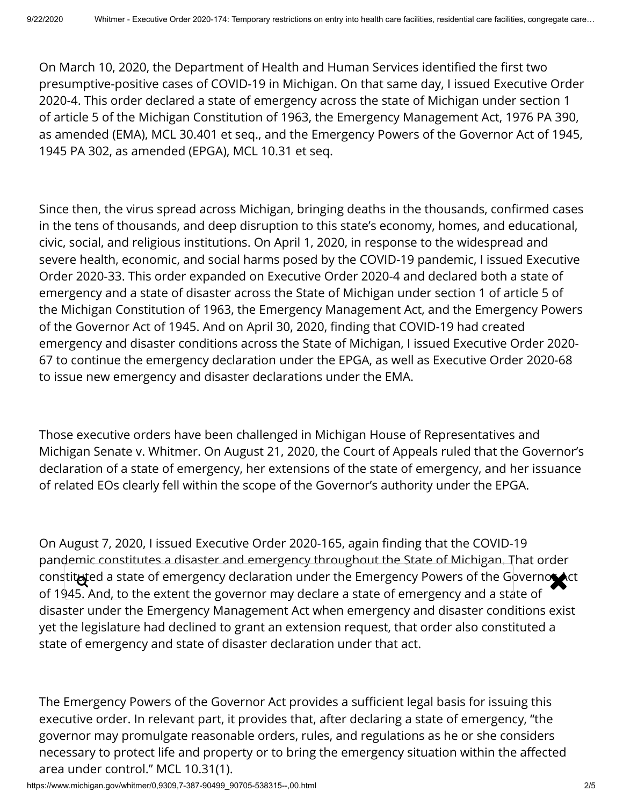On March 10, 2020, the Department of Health and Human Services identified the first two presumptive-positive cases of COVID-19 in Michigan. On that same day, I issued Executive Order 2020-4. This order declared a state of emergency across the state of Michigan under section 1 of article 5 of the Michigan Constitution of 1963, the Emergency Management Act, 1976 PA 390, as amended (EMA), MCL 30.401 et seq., and the Emergency Powers of the Governor Act of 1945, 1945 PA 302, as amended (EPGA), MCL 10.31 et seq.

Since then, the virus spread across Michigan, bringing deaths in the thousands, confirmed cases in the tens of thousands, and deep disruption to this state's economy, homes, and educational, civic, social, and religious institutions. On April 1, 2020, in response to the widespread and severe health, economic, and social harms posed by the COVID-19 pandemic, I issued Executive Order 2020-33. This order expanded on Executive Order 2020-4 and declared both a state of emergency and a state of disaster across the State of Michigan under section 1 of article 5 of the Michigan Constitution of 1963, the Emergency Management Act, and the Emergency Powers of the Governor Act of 1945. And on April 30, 2020, finding that COVID-19 had created emergency and disaster conditions across the State of Michigan, I issued Executive Order 2020- 67 to continue the emergency declaration under the EPGA, as well as Executive Order 2020-68 to issue new emergency and disaster declarations under the EMA.

Those executive orders have been challenged in Michigan House of Representatives and Michigan Senate v. Whitmer. On August 21, 2020, the Court of Appeals ruled that the Governor's declaration of a state of emergency, her extensions of the state of emergency, and her issuance of related EOs clearly fell within the scope of the Governor's authority under the EPGA.

On August 7, 2020, I issued Executive Order 2020-165, again finding that the COVID-19 pandemic constitutes a disaster and emergency throughout the State of Michigan. That order constituted a state of emergency declaration under the Emergency Powers of the Governor Act of 1945. And, to the extent the governor may declare a state of emergency and a state of disaster under the Emergency Management Act when emergency and disaster conditions exist yet the legislature had declined to grant an extension request, that order also constituted a state of emergency and state of disaster declaration under that act.

The Emergency Powers of the Governor Act provides a sufficient legal basis for issuing this executive order. In relevant part, it provides that, after declaring a state of emergency, "the governor may promulgate reasonable orders, rules, and regulations as he or she considers necessary to protect life and property or to bring the emergency situation within the affected area under control." MCL 10.31(1).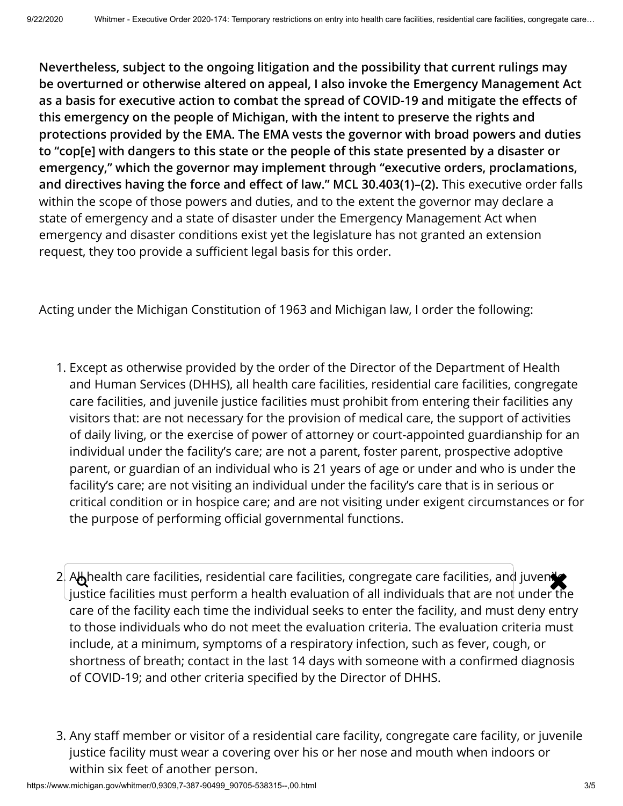**Nevertheless, subject to the ongoing litigation and the possibility that current rulings may be overturned or otherwise altered on appeal, I also invoke the Emergency Management Act** as a basis for executive action to combat the spread of COVID-19 and mitigate the effects of **this emergency on the people of Michigan, with the intent to preserve the rights and protections provided by the EMA. The EMA vests the governor with broad powers and duties to "cop[e] with dangers to this state or the people of this state presented by a disaster or emergency," which the governor may implement through "executive orders, proclamations,** and directives having the force and effect of law." MCL 30.403(1)-(2). This executive order falls within the scope of those powers and duties, and to the extent the governor may declare a state of emergency and a state of disaster under the Emergency Management Act when emergency and disaster conditions exist yet the legislature has not granted an extension request, they too provide a sufficient legal basis for this order.

Acting under the Michigan Constitution of 1963 and Michigan law, I order the following:

- 1. Except as otherwise provided by the order of the Director of the Department of Health and Human Services (DHHS), all health care facilities, residential care facilities, congregate care facilities, and juvenile justice facilities must prohibit from entering their facilities any visitors that: are not necessary for the provision of medical care, the support of activities of daily living, or the exercise of power of attorney or court-appointed guardianship for an individual under the facility's care; are not a parent, foster parent, prospective adoptive parent, or guardian of an individual who is 21 years of age or under and who is under the facility's care; are not visiting an individual under the facility's care that is in serious or critical condition or in hospice care; and are not visiting under exigent circumstances or for the purpose of performing official governmental functions.
- 2. All health care facilities, residential care facilities, congregate care facilities, and juveniles justice facilities must perform a health evaluation of all individuals that are not under the care of the facility each time the individual seeks to enter the facility, and must deny entry to those individuals who do not meet the evaluation criteria. The evaluation criteria must include, at a minimum, symptoms of a respiratory infection, such as fever, cough, or shortness of breath; contact in the last 14 days with someone with a confirmed diagnosis of COVID-19; and other criteria specified by the Director of DHHS.
- 3. Any staff member or visitor of a residential care facility, congregate care facility, or juvenile justice facility must wear a covering over his or her nose and mouth when indoors or within six feet of another person.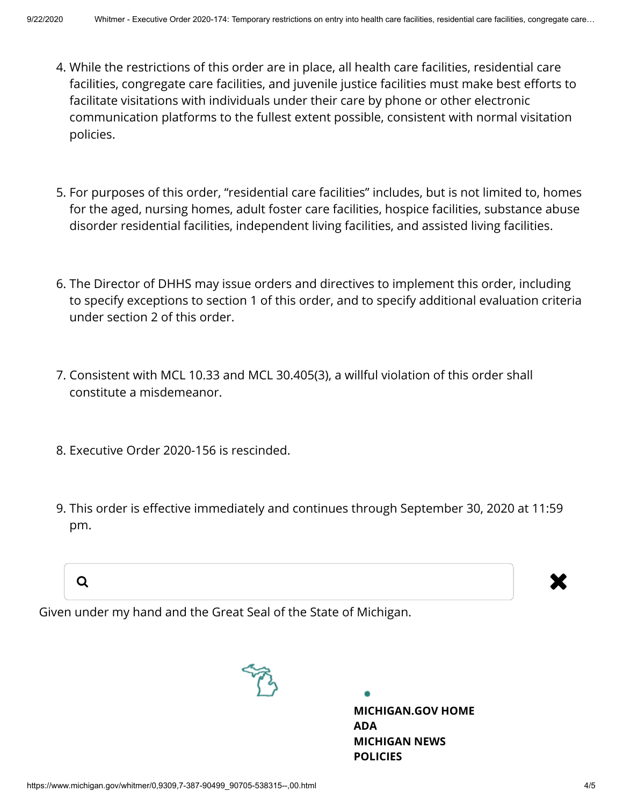- 4. While the restrictions of this order are in place, all health care facilities, residential care facilities, congregate care facilities, and juvenile justice facilities must make best efforts to facilitate visitations with individuals under their care by phone or other electronic communication platforms to the fullest extent possible, consistent with normal visitation policies.
- 5. For purposes of this order, "residential care facilities" includes, but is not limited to, homes for the aged, nursing homes, adult foster care facilities, hospice facilities, substance abuse disorder residential facilities, independent living facilities, and assisted living facilities.
- 6. The Director of DHHS may issue orders and directives to implement this order, including to specify exceptions to section 1 of this order, and to specify additional evaluation criteria under section 2 of this order.
- 7. Consistent with MCL 10.33 and MCL 30.405(3), a willful violation of this order shall constitute a misdemeanor.
- 8. Executive Order 2020-156 is rescinded.
- 9. This order is effective immediately and continues through September 30, 2020 at 11:59 pm.

a and the set of the set of the set of the set of the set of the set of the set of the set of the set of the s

Given under my hand and the Great Seal of the State of Michigan.



**[MICHIGAN.GOV](https://www.michigan.gov/) HOME [ADA](https://www.michigan.gov/adaform) [MICHIGAN NEWS](https://www.michigan.gov/minewswire) [POLICIES](https://www.michigan.gov/whitmer/0,9309,7-387--281460--,00.html)**